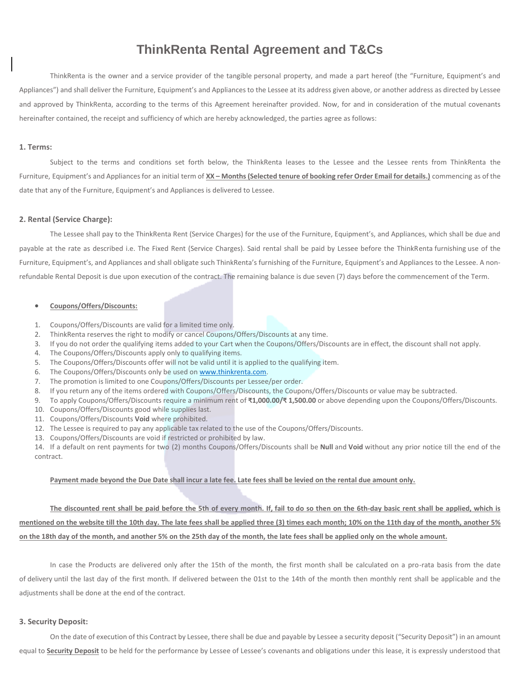# **ThinkRenta Rental Agreement and T&Cs**

ThinkRenta is the owner and a service provider of the tangible personal property, and made a part hereof (the "Furniture, Equipment's and Appliances") and shall deliver the Furniture, Equipment's and Appliances to the Lessee at its address given above, or another address as directed by Lessee and approved by ThinkRenta, according to the terms of this Agreement hereinafter provided. Now, for and in consideration of the mutual covenants hereinafter contained, the receipt and sufficiency of which are hereby acknowledged, the parties agree as follows:

## **1. Terms:**

Subject to the terms and conditions set forth below, the ThinkRenta leases to the Lessee and the Lessee rents from ThinkRenta the Furniture, Equipment's and Appliances for an initial term of **XX – Months (Selected tenure of booking refer Order Email for details.)** commencing as of the date that any of the Furniture, Equipment's and Appliances is delivered to Lessee.

#### **2. Rental (Service Charge):**

The Lessee shall pay to the ThinkRenta Rent (Service Charges) for the use of the Furniture, Equipment's, and Appliances, which shall be due and payable at the rate as described i.e. The Fixed Rent (Service Charges). Said rental shall be paid by Lessee before the ThinkRenta furnishing use of the Furniture, Equipment's, and Appliances and shall obligate such ThinkRenta's furnishing of the Furniture, Equipment's and Appliances to the Lessee. A nonrefundable Rental Deposit is due upon execution of the contract. The remaining balance is due seven (7) days before the commencement of the Term.

# **Coupons/Offers/Discounts:**

- 1. Coupons/Offers/Discounts are valid for a limited time only.
- 2. ThinkRenta reserves the right to modify or cancel Coupons/Offers/Discounts at any time.
- 3. If you do not order the qualifying items added to your Cart when the Coupons/Offers/Discounts are in effect, the discount shall not apply.
- 4. The Coupons/Offers/Discounts apply only to qualifying items.
- 5. The Coupons/Offers/Discounts offer will not be valid until it is applied to the qualifying item.
- 6. The Coupons/Offers/Discounts only be used on [www.thinkrenta.com.](http://www.thinkrenta.com/)
- 7. The promotion is limited to one Coupons/Offers/Discounts per Lessee/per order.
- 8. If you return any of the items ordered with Coupons/Offers/Discounts, the Coupons/Offers/Discounts or value may be subtracted.
- 9. To apply Coupons/Offers/Discounts require a minimum rent of **₹1,000.00/₹ 1,500.00** or above depending upon the Coupons/Offers/Discounts.
- 10. Coupons/Offers/Discounts good while supplies last.
- 11. Coupons/Offers/Discounts **Void** where prohibited.
- 12. The Lessee is required to pay any applicable tax related to the use of the Coupons/Offers/Discounts.
- 13. Coupons/Offers/Discounts are void if restricted or prohibited by law.

14. If a default on rent payments for two (2) months Coupons/Offers/Discounts shall be **Null** and **Void** without any prior notice till the end of the contract.

# **Payment made beyond the Due Date shall incur a late fee. Late fees shall be levied on the rental due amount only.**

**The discounted rent shall be paid before the 5th of every month. If, fail to do so then on the 6th-day basic rent shall be applied, which is mentioned on the website till the 10th day. The late fees shall be applied three (3) times each month; 10% on the 11th day of the month, another 5% on the 18th day of the month, and another 5% on the 25th day of the month, the late fees shall be applied only on the whole amount.**

In case the Products are delivered only after the 15th of the month, the first month shall be calculated on a pro-rata basis from the date of delivery until the last day of the first month. If delivered between the 01st to the 14th of the month then monthly rent shall be applicable and the adjustments shall be done at the end of the contract.

# **3. Security Deposit:**

On the date of execution of this Contract by Lessee, there shall be due and payable by Lessee a security deposit ("Security Deposit") in an amount equal to **Security Deposit** to be held for the performance by Lessee of Lessee's covenants and obligations under this lease, it is expressly understood that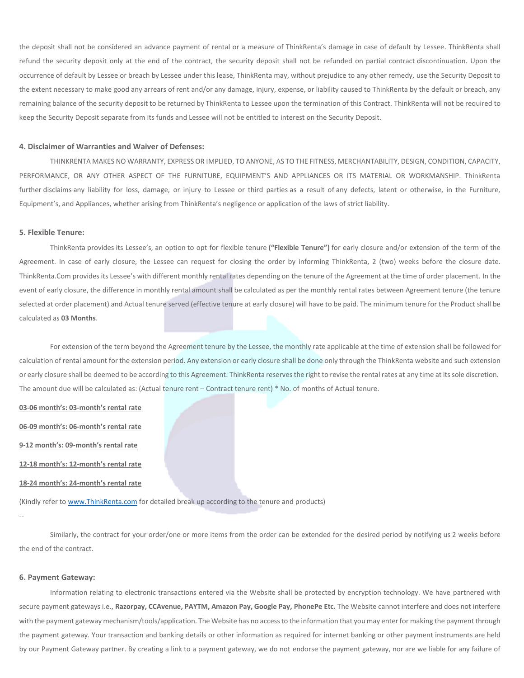the deposit shall not be considered an advance payment of rental or a measure of ThinkRenta's damage in case of default by Lessee. ThinkRenta shall refund the security deposit only at the end of the contract, the security deposit shall not be refunded on partial contract discontinuation. Upon the occurrence of default by Lessee or breach by Lessee under this lease, ThinkRenta may, without prejudice to any other remedy, use the Security Deposit to the extent necessary to make good any arrears of rent and/or any damage, injury, expense, or liability caused to ThinkRenta by the default or breach, any remaining balance of the security deposit to be returned by ThinkRenta to Lessee upon the termination of this Contract. ThinkRenta will not be required to keep the Security Deposit separate from its funds and Lessee will not be entitled to interest on the Security Deposit.

## **4. Disclaimer of Warranties and Waiver of Defenses:**

THINKRENTA MAKES NO WARRANTY, EXPRESS OR IMPLIED, TO ANYONE, AS TO THE FITNESS, MERCHANTABILITY, DESIGN, CONDITION, CAPACITY, PERFORMANCE, OR ANY OTHER ASPECT OF THE FURNITURE, EQUIPMENT'S AND APPLIANCES OR ITS MATERIAL OR WORKMANSHIP. ThinkRenta further disclaims any liability for loss, damage, or injury to Lessee or third parties as a result of any defects, latent or otherwise, in the Furniture, Equipment's, and Appliances, whether arising from ThinkRenta's negligence or application of the laws of strict liability.

#### **5. Flexible Tenure:**

ThinkRenta provides its Lessee's, an option to opt for flexible tenure **("Flexible Tenure")** for early closure and/or extension of the term of the Agreement. In case of early closure, the Lessee can request for closing the order by informing ThinkRenta, 2 (two) weeks before the closure date. ThinkRenta.Com provides its Lessee's with different monthly rental rates depending on the tenure of the Agreement at the time of order placement. In the event of early closure, the difference in monthly rental amount shall be calculated as per the monthly rental rates between Agreement tenure (the tenure selected at order placement) and Actual tenure served (effective tenure at early closure) will have to be paid. The minimum tenure for the Product shall be calculated as **03 Months**.

For extension of the term beyond the Agreement tenure by the Lessee, the monthly rate applicable at the time of extension shall be followed for calculation of rental amount for the extension period. Any extension or early closure shall be done only through the ThinkRenta website and such extension or early closure shall be deemed to be according to this Agreement. ThinkRenta reserves the right to revise the rental rates at any time at its sole discretion. The amount due will be calculated as: (Actual tenure rent – Contract tenure rent) \* No. of months of Actual tenure.

**03-06 month's: 03-month's rental rate**

**06-09 month's: 06-month's rental rate**

**9-12 month's: 09-month's rental rate**

**12-18 month's: 12-month's rental rate**

**18-24 month's: 24-month's rental rate**

(Kindly refer to [www.ThinkRenta.com](http://www.thinkrenta.com/) for detailed break up according to the tenure and products)

--

Similarly, the contract for your order/one or more items from the order can be extended for the desired period by notifying us 2 weeks before the end of the contract.

# **6. Payment Gateway:**

Information relating to electronic transactions entered via the Website shall be protected by encryption technology. We have partnered with secure payment gateways i.e., **Razorpay, CCAvenue, PAYTM, Amazon Pay, Google Pay, PhonePe Etc.** The Website cannot interfere and does not interfere with the payment gateway mechanism/tools/application. The Website has no access to the information that you may enter for making the payment through the payment gateway. Your transaction and banking details or other information as required for internet banking or other payment instruments are held by our Payment Gateway partner. By creating a link to a payment gateway, we do not endorse the payment gateway, nor are we liable for any failure of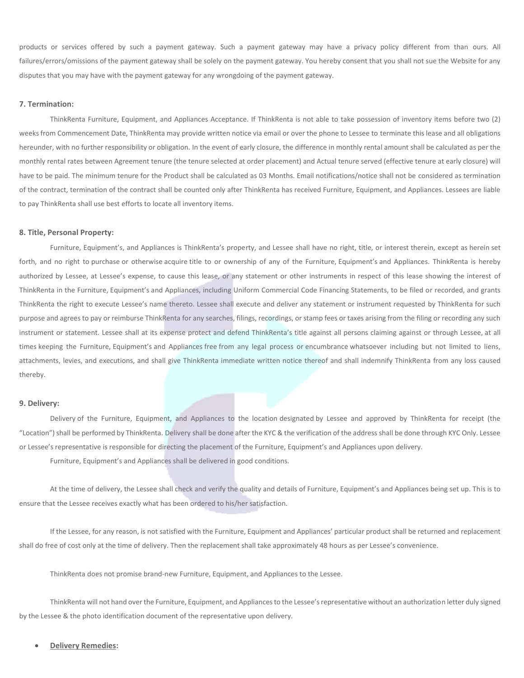products or services offered by such a payment gateway. Such a payment gateway may have a privacy policy different from than ours. All failures/errors/omissions of the payment gateway shall be solely on the payment gateway. You hereby consent that you shall not sue the Website for any disputes that you may have with the payment gateway for any wrongdoing of the payment gateway.

## **7. Termination:**

ThinkRenta Furniture, Equipment, and Appliances Acceptance. If ThinkRenta is not able to take possession of inventory items before two (2) weeks from Commencement Date, ThinkRenta may provide written notice via email or over the phone to Lessee to terminate this lease and all obligations hereunder, with no further responsibility or obligation. In the event of early closure, the difference in monthly rental amount shall be calculated as per the monthly rental rates between Agreement tenure (the tenure selected at order placement) and Actual tenure served (effective tenure at early closure) will have to be paid. The minimum tenure for the Product shall be calculated as 03 Months. Email notifications/notice shall not be considered as termination of the contract, termination of the contract shall be counted only after ThinkRenta has received Furniture, Equipment, and Appliances. Lessees are liable to pay ThinkRenta shall use best efforts to locate all inventory items.

#### **8. Title, Personal Property:**

Furniture, Equipment's, and Appliances is ThinkRenta's property, and Lessee shall have no right, title, or interest therein, except as herein set forth, and no right to purchase or otherwise acquire title to or ownership of any of the Furniture, Equipment's and Appliances. ThinkRenta is hereby authorized by Lessee, at Lessee's expense, to cause this lease, or any statement or other instruments in respect of this lease showing the interest of ThinkRenta in the Furniture, Equipment's and Appliances, including Uniform Commercial Code Financing Statements, to be filed or recorded, and grants ThinkRenta the right to execute Lessee's name thereto. Lessee shall execute and deliver any statement or instrument requested by ThinkRenta for such purpose and agrees to pay or reimburse ThinkRenta for any searches, filings, recordings, or stamp fees or taxes arising from the filing or recording any such instrument or statement. Lessee shall at its expense protect and defend ThinkRenta's title against all persons claiming against or through Lessee, at all times keeping the Furniture, Equipment's and Appliances free from any legal process or encumbrance whatsoever including but not limited to liens, attachments, levies, and executions, and shall give ThinkRenta immediate written notice thereof and shall indemnify ThinkRenta from any loss caused thereby.

#### **9. Delivery:**

Delivery of the Furniture, Equipment, and Appliances to the location designated by Lessee and approved by ThinkRenta for receipt (the "Location") shall be performed by ThinkRenta. Delivery shall be done after the KYC & the verification of the address shall be done through KYC Only. Lessee or Lessee's representative is responsible for directing the placement of the Furniture, Equipment's and Appliances upon delivery.

Furniture, Equipment's and Appliances shall be delivered in good conditions.

At the time of delivery, the Lessee shall check and verify the quality and details of Furniture, Equipment's and Appliances being set up. This is to ensure that the Lessee receives exactly what has been ordered to his/her satisfaction.

If the Lessee, for any reason, is not satisfied with the Furniture, Equipment and Appliances' particular product shall be returned and replacement shall do free of cost only at the time of delivery. Then the replacement shall take approximately 48 hours as per Lessee's convenience.

ThinkRenta does not promise brand-new Furniture, Equipment, and Appliances to the Lessee.

ThinkRenta will not hand over the Furniture, Equipment, and Appliances to the Lessee's representative without an authorization letter duly signed by the Lessee & the photo identification document of the representative upon delivery.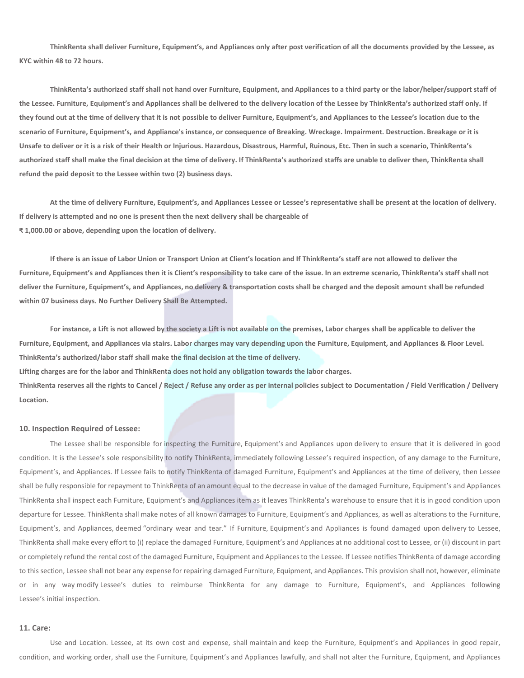**ThinkRenta shall deliver Furniture, Equipment's, and Appliances only after post verification of all the documents provided by the Lessee, as KYC within 48 to 72 hours.**

**ThinkRenta's authorized staff shall not hand over Furniture, Equipment, and Appliances to a third party or the labor/helper/support staff of the Lessee. Furniture, Equipment's and Appliances shall be delivered to the delivery location of the Lessee by ThinkRenta's authorized staff only. If they found out at the time of delivery that it is not possible to deliver Furniture, Equipment's, and Appliances to the Lessee's location due to the scenario of Furniture, Equipment's, and Appliance's instance, or consequence of Breaking. Wreckage. Impairment. Destruction. Breakage or it is Unsafe to deliver or it is a risk of their Health or Injurious. Hazardous, Disastrous, Harmful, Ruinous, Etc. Then in such a scenario, ThinkRenta's authorized staff shall make the final decision at the time of delivery. If ThinkRenta's authorized staffs are unable to deliver then, ThinkRenta shall refund the paid deposit to the Lessee within two (2) business days.**

**At the time of delivery Furniture, Equipment's, and Appliances Lessee or Lessee's representative shall be present at the location of delivery. If delivery is attempted and no one is present then the next delivery shall be chargeable of ₹ 1,000.00 or above, depending upon the location of delivery.**

**If there is an issue of Labor Union or Transport Union at Client's location and If ThinkRenta's staff are not allowed to deliver the Furniture, Equipment's and Appliances then it is Client's responsibility to take care of the issue. In an extreme scenario, ThinkRenta's staff shall not deliver the Furniture, Equipment's, and Appliances, no delivery & transportation costs shall be charged and the deposit amount shall be refunded within 07 business days. No Further Delivery Shall Be Attempted.**

**For instance, a Lift is not allowed by the society a Lift is not available on the premises, Labor charges shall be applicable to deliver the Furniture, Equipment, and Appliances via stairs. Labor charges may vary depending upon the Furniture, Equipment, and Appliances & Floor Level. ThinkRenta's authorized/labor staff shall make the final decision at the time of delivery. Lifting charges are for the labor and ThinkRenta does not hold any obligation towards the labor charges. ThinkRenta reserves all the rights to Cancel / Reject / Refuse any order as per internal policies subject to Documentation / Field Verification / Delivery Location.**

#### **10. Inspection Required of Lessee:**

The Lessee shall be responsible for inspecting the Furniture, Equipment's and Appliances upon delivery to ensure that it is delivered in good condition. It is the Lessee's sole responsibility to notify ThinkRenta, immediately following Lessee's required inspection, of any damage to the Furniture, Equipment's, and Appliances. If Lessee fails to notify ThinkRenta of damaged Furniture, Equipment's and Appliances at the time of delivery, then Lessee shall be fully responsible for repayment to ThinkRenta of an amount equal to the decrease in value of the damaged Furniture, Equipment's and Appliances ThinkRenta shall inspect each Furniture, Equipment's and Appliances item as it leaves ThinkRenta's warehouse to ensure that it is in good condition upon departure for Lessee. ThinkRenta shall make notes of all known damages to Furniture, Equipment's and Appliances, as well as alterations to the Furniture, Equipment's, and Appliances, deemed "ordinary wear and tear." If Furniture, Equipment's and Appliances is found damaged upon delivery to Lessee, ThinkRenta shall make every effort to (i) replace the damaged Furniture, Equipment's and Appliances at no additional cost to Lessee, or (ii) discount in part or completely refund the rental cost of the damaged Furniture, Equipment and Appliances to the Lessee. If Lessee notifies ThinkRenta of damage according to this section, Lessee shall not bear any expense for repairing damaged Furniture, Equipment, and Appliances. This provision shall not, however, eliminate or in any way modify Lessee's duties to reimburse ThinkRenta for any damage to Furniture, Equipment's, and Appliances following Lessee's initial inspection.

#### **11. Care:**

Use and Location. Lessee, at its own cost and expense, shall maintain and keep the Furniture, Equipment's and Appliances in good repair, condition, and working order, shall use the Furniture, Equipment's and Appliances lawfully, and shall not alter the Furniture, Equipment, and Appliances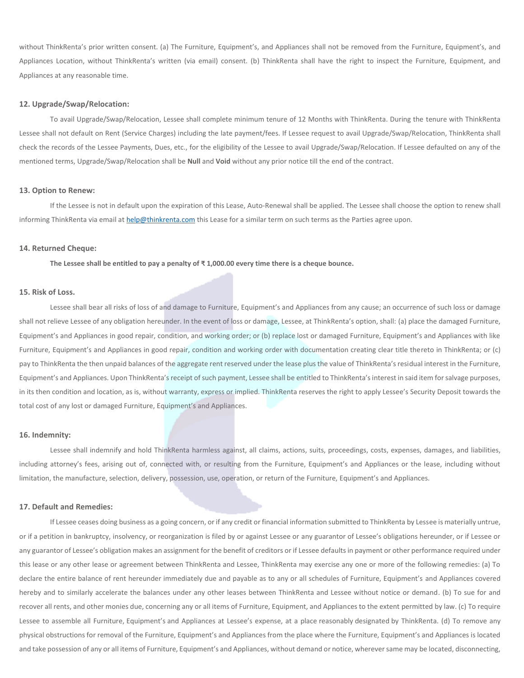without ThinkRenta's prior written consent. (a) The Furniture, Equipment's, and Appliances shall not be removed from the Furniture, Equipment's, and Appliances Location, without ThinkRenta's written (via email) consent. (b) ThinkRenta shall have the right to inspect the Furniture, Equipment, and Appliances at any reasonable time.

## **12. Upgrade/Swap/Relocation:**

To avail Upgrade/Swap/Relocation, Lessee shall complete minimum tenure of 12 Months with ThinkRenta. During the tenure with ThinkRenta Lessee shall not default on Rent (Service Charges) including the late payment/fees. If Lessee request to avail Upgrade/Swap/Relocation, ThinkRenta shall check the records of the Lessee Payments, Dues, etc., for the eligibility of the Lessee to avail Upgrade/Swap/Relocation. If Lessee defaulted on any of the mentioned terms, Upgrade/Swap/Relocation shall be **Null** and **Void** without any prior notice till the end of the contract.

#### **13. Option to Renew:**

If the Lessee is not in default upon the expiration of this Lease, Auto-Renewal shall be applied. The Lessee shall choose the option to renew shall informing ThinkRenta via email at [help@thinkrenta.com](mailto:help@thinkrenta.com) this Lease for a similar term on such terms as the Parties agree upon.

#### **14. Returned Cheque:**

**The Lessee shall be entitled to pay a penalty of ₹ 1,000.00 every time there is a cheque bounce.**

# **15. Risk of Loss.**

Lessee shall bear all risks of loss of and damage to Furniture, Equipment's and Appliances from any cause; an occurrence of such loss or damage shall not relieve Lessee of any obligation hereunder. In the event of loss or damage, Lessee, at ThinkRenta's option, shall: (a) place the damaged Furniture, Equipment's and Appliances in good repair, condition, and working order; or (b) replace lost or damaged Furniture, Equipment's and Appliances with like Furniture, Equipment's and Appliances in good repair, condition and working order with documentation creating clear title thereto in ThinkRenta; or (c) pay to ThinkRenta the then unpaid balances of the aggregate rent reserved under the lease plus the value of ThinkRenta's residual interest in the Furniture, Equipment's and Appliances. Upon ThinkRenta's receipt of such payment, Lessee shall be entitled to ThinkRenta's interest in said item for salvage purposes, in its then condition and location, as is, without warranty, express or implied. ThinkRenta reserves the right to apply Lessee's Security Deposit towards the total cost of any lost or damaged Furniture, Equipment's and Appliances.

#### **16. Indemnity:**

Lessee shall indemnify and hold ThinkRenta harmless against, all claims, actions, suits, proceedings, costs, expenses, damages, and liabilities, including attorney's fees, arising out of, connected with, or resulting from the Furniture, Equipment's and Appliances or the lease, including without limitation, the manufacture, selection, delivery, possession, use, operation, or return of the Furniture, Equipment's and Appliances.

#### **17. Default and Remedies:**

If Lessee ceases doing business as a going concern, or if any credit or financial information submitted to ThinkRenta by Lessee is materially untrue, or if a petition in bankruptcy, insolvency, or reorganization is filed by or against Lessee or any guarantor of Lessee's obligations hereunder, or if Lessee or any guarantor of Lessee's obligation makes an assignment for the benefit of creditors or if Lessee defaults in payment or other performance required under this lease or any other lease or agreement between ThinkRenta and Lessee, ThinkRenta may exercise any one or more of the following remedies: (a) To declare the entire balance of rent hereunder immediately due and payable as to any or all schedules of Furniture, Equipment's and Appliances covered hereby and to similarly accelerate the balances under any other leases between ThinkRenta and Lessee without notice or demand. (b) To sue for and recover all rents, and other monies due, concerning any or all items of Furniture, Equipment, and Appliances to the extent permitted by law. (c) To require Lessee to assemble all Furniture, Equipment's and Appliances at Lessee's expense, at a place reasonably designated by ThinkRenta. (d) To remove any physical obstructions for removal of the Furniture, Equipment's and Appliances from the place where the Furniture, Equipment's and Appliances is located and take possession of any or all items of Furniture, Equipment's and Appliances, without demand or notice, wherever same may be located, disconnecting,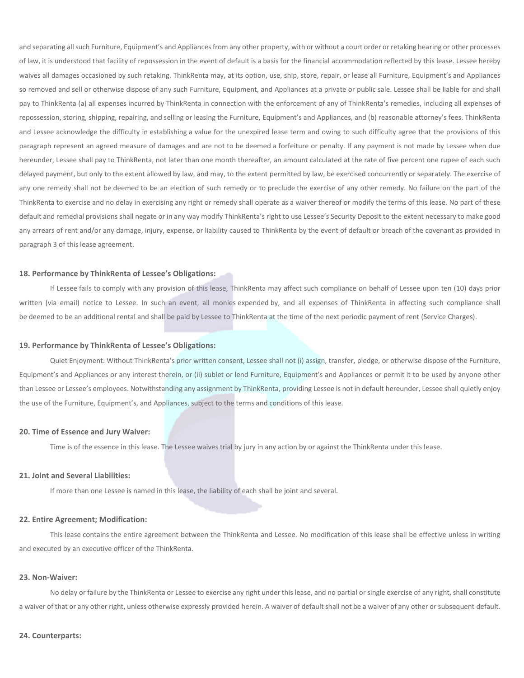and separating all such Furniture, Equipment's and Appliances from any other property, with or without a court order or retaking hearing or other processes of law, it is understood that facility of repossession in the event of default is a basis for the financial accommodation reflected by this lease. Lessee hereby waives all damages occasioned by such retaking. ThinkRenta may, at its option, use, ship, store, repair, or lease all Furniture, Equipment's and Appliances so removed and sell or otherwise dispose of any such Furniture, Equipment, and Appliances at a private or public sale. Lessee shall be liable for and shall pay to ThinkRenta (a) all expenses incurred by ThinkRenta in connection with the enforcement of any of ThinkRenta's remedies, including all expenses of repossession, storing, shipping, repairing, and selling or leasing the Furniture, Equipment's and Appliances, and (b) reasonable attorney's fees. ThinkRenta and Lessee acknowledge the difficulty in establishing a value for the unexpired lease term and owing to such difficulty agree that the provisions of this paragraph represent an agreed measure of damages and are not to be deemed a forfeiture or penalty. If any payment is not made by Lessee when due hereunder, Lessee shall pay to ThinkRenta, not later than one month thereafter, an amount calculated at the rate of five percent one rupee of each such delayed payment, but only to the extent allowed by law, and may, to the extent permitted by law, be exercised concurrently or separately. The exercise of any one remedy shall not be deemed to be an election of such remedy or to preclude the exercise of any other remedy. No failure on the part of the ThinkRenta to exercise and no delay in exercising any right or remedy shall operate as a waiver thereof or modify the terms of this lease. No part of these default and remedial provisions shall negate or in any way modify ThinkRenta's right to use Lessee's Security Deposit to the extent necessary to make good any arrears of rent and/or any damage, injury, expense, or liability caused to ThinkRenta by the event of default or breach of the covenant as provided in paragraph 3 of this lease agreement.

# **18. Performance by ThinkRenta of Lessee's Obligations:**

If Lessee fails to comply with any provision of this lease, ThinkRenta may affect such compliance on behalf of Lessee upon ten (10) days prior written (via email) notice to Lessee. In such an event, all monies expended by, and all expenses of ThinkRenta in affecting such compliance shall be deemed to be an additional rental and shall be paid by Lessee to ThinkRenta at the time of the next periodic payment of rent (Service Charges).

#### **19. Performance by ThinkRenta of Lessee's Obligations:**

Quiet Enjoyment. Without ThinkRenta's prior written consent, Lessee shall not (i) assign, transfer, pledge, or otherwise dispose of the Furniture, Equipment's and Appliances or any interest therein, or (ii) sublet or lend Furniture, Equipment's and Appliances or permit it to be used by anyone other than Lessee or Lessee's employees. Notwithstanding any assignment by ThinkRenta, providing Lessee is not in default hereunder, Lessee shall quietly enjoy the use of the Furniture, Equipment's, and Appliances, subject to the terms and conditions of this lease.

### **20. Time of Essence and Jury Waiver:**

Time is of the essence in this lease. The Lessee waives trial by jury in any action by or against the ThinkRenta under this lease.

# **21. Joint and Several Liabilities:**

If more than one Lessee is named in this lease, the liability of each shall be joint and several.

## **22. Entire Agreement; Modification:**

This lease contains the entire agreement between the ThinkRenta and Lessee. No modification of this lease shall be effective unless in writing and executed by an executive officer of the ThinkRenta.

## **23. Non-Waiver:**

No delay or failure by the ThinkRenta or Lessee to exercise any right under this lease, and no partial or single exercise of any right, shall constitute a waiver of that or any other right, unless otherwise expressly provided herein. A waiver of default shall not be a waiver of any other or subsequent default.

## **24. Counterparts:**